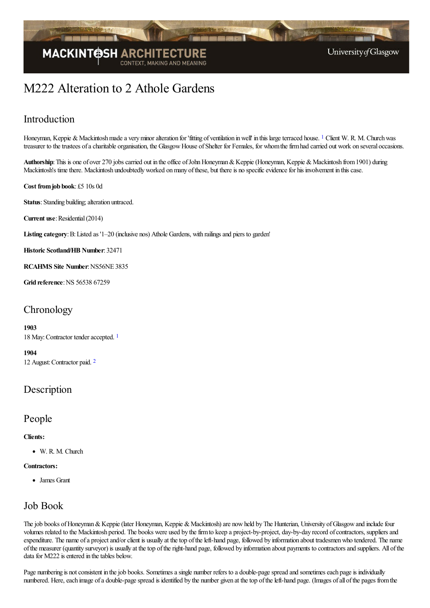

# M222 Alteration to 2 Athole Gardens

# Introduction

<span id="page-0-0"></span>Honeyman, Keppie & Mackintosh made a very minor alteration for 'fitting of ventilation in well' in this large terraced house. <sup>[1](#page-1-0)</sup> Client W. R. M. Church was treasurer to the trustees of a charitable organisation, the Glasgow House of Shelter for Females, for whom the firm had carried out work on several occasions.

Authorship: This is one of over 270 jobs carried out in the office of John Honeyman & Keppie (Honeyman, Keppie & Mackintosh from 1901) during Mackintosh's time there. Mackintosh undoubtedly worked on many of these, but there is no specific evidence for his involvement in this case.

**Cost fromjob book**: £5 10s 0d

**Status**: Standing building; alteration untraced.

**Current use:** Residential (2014)

Listing category: B: Listed as '1–20 (inclusive nos) Athole Gardens, with railings and piers to garden'

**Historic Scotland/HB Number**: 32471

**RCAHMS Site Number**:NS56NE 3835

**Grid reference**:NS 56538 67259

# **Chronology**

### **1903**

<span id="page-0-1"></span>[1](#page-1-1)8 May: Contractor tender accepted. 1

<span id="page-0-2"></span>**1904** 12 August:Contractor paid. [2](#page-1-2)

## Description

### People

### **Clients:**

W. R. M. Church

### **Contractors:**

James Grant

### Job Book

The job books of Honeyman & Keppie (later Honeyman, Keppie & Mackintosh) are now held by The Hunterian, University of Glasgow and include four volumes related to the Mackintosh period. The books were used by the firm to keep a project-by-project, day-by-day record of contractors, suppliers and expenditure. The name of a project and/or client is usually at the top of the left-hand page, followed by information about tradesmen who tendered. The name ofthe measurer (quantity surveyor) is usually at thetop oftheright-hand page, followed by information about payments to contractorsand suppliers. All ofthe data for M222 is entered in the tables below.

Page numbering is not consistent in the job books. Sometimes a single number refers to a double-page spread and sometimes each page is individually numbered. Here, each image of a double-page spread is identified by the number given at the top of the left-hand page. (Images of all of the pages from the